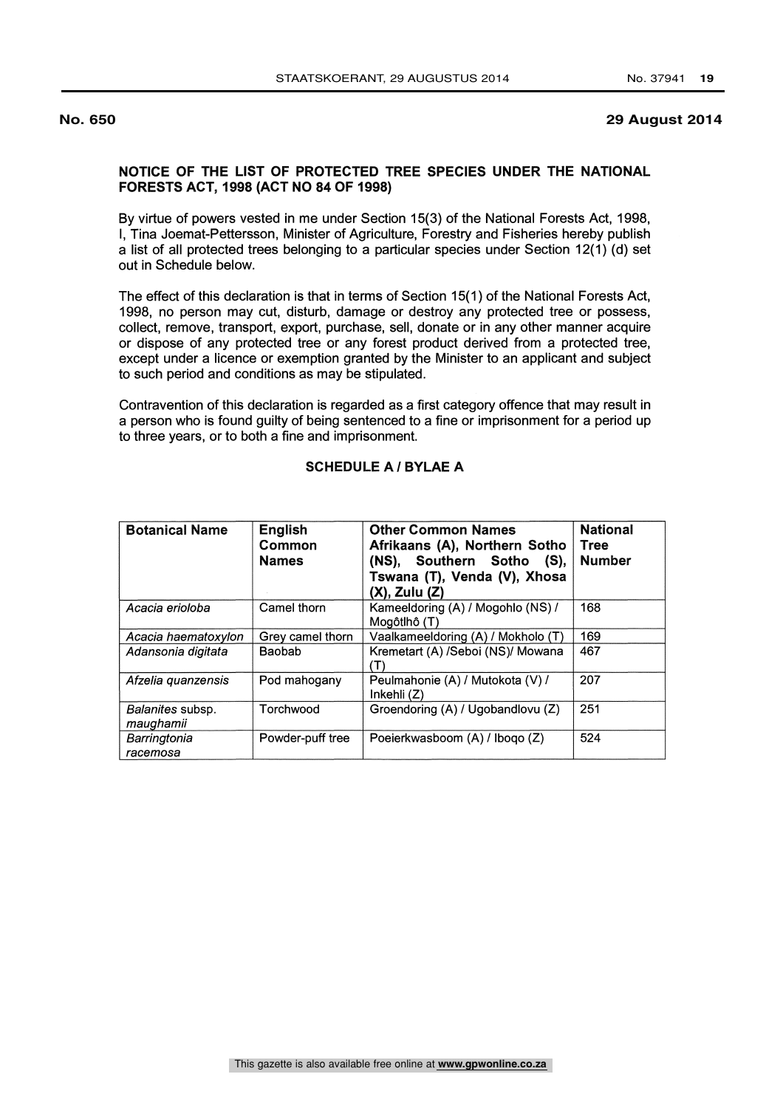## **No. 650 29 August 2014**

## NOTICE OF THE LIST OF PROTECTED TREE SPECIES UNDER THE NATIONAL FORESTS ACT, 1998 (ACT NO 84 OF 1998)

By virtue of powers vested in me under Section 15(3) of the National Forests Act, 1998, I, Tina Joemat-Pettersson, Minister of Agriculture, Forestry and Fisheries hereby publish a list of all protected trees belonging to a particular species under Section 12(1) (d) set out in Schedule below.

The effect of this declaration is that in terms of Section 15(1) of the National Forests Act, 1998, no person may cut, disturb, damage or destroy any protected tree or possess, collect, remove, transport, export, purchase, sell, donate or in any other manner acquire or dispose of any protected tree or any forest product derived from a protected tree, except under a licence or exemption granted by the Minister to an applicant and subject to such period and conditions as may be stipulated.

Contravention of this declaration is regarded as a first category offence that may result in a person who is found guilty of being sentenced to a fine or imprisonment for a period up to three years, or to both a fine and imprisonment.

| <b>Botanical Name</b>         | English<br>Common<br><b>Names</b> | <b>Other Common Names</b><br>Afrikaans (A), Northern Sotho<br>(NS), Southern Sotho (S),<br>Tswana (T), Venda (V), Xhosa<br>$(X)$ , Zulu $(Z)$ | <b>National</b><br><b>Tree</b><br><b>Number</b> |
|-------------------------------|-----------------------------------|-----------------------------------------------------------------------------------------------------------------------------------------------|-------------------------------------------------|
| Acacia erioloba               | Camel thorn                       | Kameeldoring (A) / Mogohlo (NS) /<br>Mogôtlhô (T)                                                                                             | 168                                             |
| Acacia haematoxylon           | Grey camel thorn                  | Vaalkameeldoring (A) / Mokholo (T)                                                                                                            | 169                                             |
| Adansonia digitata            | <b>Baobab</b>                     | Kremetart (A) /Seboi (NS)/ Mowana                                                                                                             | 467                                             |
| Afzelia quanzensis            | Pod mahogany                      | Peulmahonie (A) / Mutokota (V) /<br>Inkehli(Z)                                                                                                | 207                                             |
| Balanites subsp.<br>maughamii | Torchwood                         | Groendoring (A) / Ugobandlovu (Z)                                                                                                             | 251                                             |
| Barringtonia<br>racemosa      | Powder-puff tree                  | Poeierkwasboom (A) / Ibogo (Z)                                                                                                                | 524                                             |

## SCHEDULE A / BYLAE A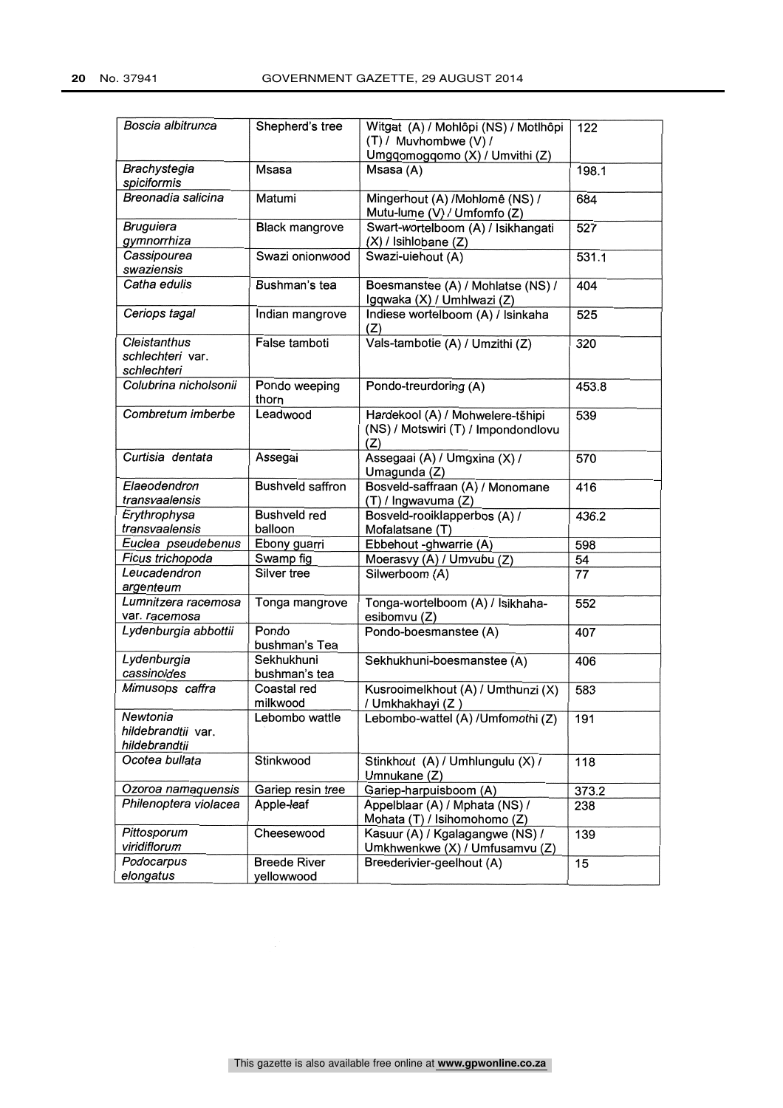| Boscia albitrunca                               | Shepherd's tree                   | Witgat (A) / Mohlôpi (NS) / Motlhôpi<br>(T) / Muvhombwe (V) /<br>Umgqomogqomo (X) / Umvithi (Z) | 122   |
|-------------------------------------------------|-----------------------------------|-------------------------------------------------------------------------------------------------|-------|
| Brachystegia<br>spiciformis                     | Msasa                             | Msasa (A)                                                                                       | 198.1 |
| Breonadia salicina                              | Matumi                            | Mingerhout (A) /Mohlomê (NS) /<br>Mutu-lume (V) / Umfomfo (Z)                                   | 684   |
| <b>Bruguiera</b><br>gymnorrhiza                 | <b>Black mangrove</b>             | Swart-wortelboom (A) / Isikhangati<br>(X) / Isihlobane (Z)                                      | 527   |
| Cassipourea<br>swaziensis                       | Swazi onionwood                   | Swazi-uiehout (A)                                                                               | 531.1 |
| Catha edulis                                    | Bushman's tea                     | Boesmanstee (A) / Mohlatse (NS) /<br>Igqwaka (X) / Umhlwazi (Z)                                 | 404   |
| Ceriops tagal                                   | Indian mangrove                   | Indiese wortelboom (A) / Isinkaha<br>(Z)                                                        | 525   |
| Cleistanthus<br>schlechteri var.<br>schlechteri | False tamboti                     | Vals-tambotie (A) / Umzithi (Z)                                                                 | 320   |
| Colubrina nicholsonii                           | Pondo weeping<br>thorn            | Pondo-treurdoring (A)                                                                           | 453.8 |
| Combretum imberbe                               | Leadwood                          | Hardekool (A) / Mohwelere-tšhipi<br>(NS) / Motswiri (T) / Impondondlovu<br>(Z)                  | 539   |
| Curtisia dentata                                | Assegai                           | Assegaai (A) / Umgxina (X) /<br>Umagunda (Z)                                                    | 570   |
| Elaeodendron<br>transvaalensis                  | <b>Bushveld saffron</b>           | Bosveld-saffraan (A) / Monomane<br>(T) / Ingwavuma (Z)                                          | 416   |
| Erythrophysa<br>transvaalensis                  | <b>Bushveld red</b><br>balloon    | Bosveld-rooiklapperbos (A) /<br>Mofalatsane (T)                                                 | 436.2 |
| Euclea pseudebenus                              | Ebony guarri                      | Ebbehout -ghwarrie (A)                                                                          | 598   |
| Ficus trichopoda                                | Swamp fig                         | Moerasvy (A) / Umvubu (Z)                                                                       | 54    |
| Leucadendron<br>argenteum                       | Silver tree                       | Silwerboom (A)                                                                                  | 77    |
| Lumnitzera racemosa<br>var. racemosa            | Tonga mangrove                    | Tonga-wortelboom (A) / Isikhaha-<br>esibomvu (Z)                                                | 552   |
| Lydenburgia abbottii                            | Pondo<br>bushman's Tea            | Pondo-boesmanstee (A)                                                                           | 407   |
| Lydenburgia<br>cassinoides                      | Sekhukhuni<br>bushman's tea       | Sekhukhuni-boesmanstee (A)                                                                      | 406   |
| Mimusops caffra                                 | Coastal red<br>milkwood           | Kusrooimelkhout (A) / Umthunzi (X)<br>/ Umkhakhayi (Z)                                          | 583   |
| Newtonia<br>hildebrandtii var.<br>hildebrandtii | Lebombo wattle                    | Lebombo-wattel (A) / Umfomothi (Z)                                                              | 191   |
| Ocotea bullata                                  | Stinkwood                         | Stinkhout (A) / Umhlungulu (X) /<br>Umnukane (Z)                                                | 118   |
| Ozoroa namaquensis                              | Gariep resin tree                 | Gariep-harpuisboom (A)                                                                          | 373.2 |
| Philenoptera violacea                           | Apple-leaf                        | Appelblaar (A) / Mphata (NS) /<br>Mohata (T) / Isihomohomo (Z)                                  | 238   |
| Pittosporum<br>viridiflorum                     | Cheesewood                        | Kasuur (A) / Kgalagangwe (NS) /<br>Umkhwenkwe (X) / Umfusamvu (Z)                               | 139   |
| Podocarpus<br>elongatus                         | <b>Breede River</b><br>yellowwood | Breederivier-geelhout (A)                                                                       | 15    |